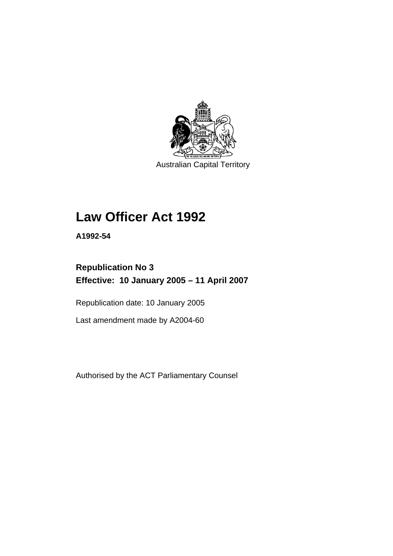

Australian Capital Territory

# **Law Officer Act 1992**

**A1992-54** 

# **Republication No 3 Effective: 10 January 2005 – 11 April 2007**

Republication date: 10 January 2005

Last amendment made by A2004-60

Authorised by the ACT Parliamentary Counsel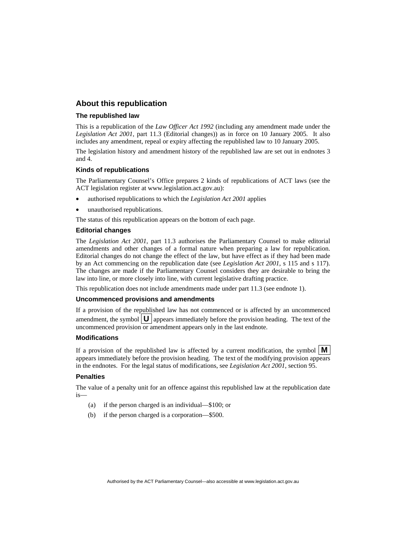# **About this republication**

#### **The republished law**

This is a republication of the *Law Officer Act 1992* (including any amendment made under the *Legislation Act 2001*, part 11.3 (Editorial changes)) as in force on 10 January 2005*.* It also includes any amendment, repeal or expiry affecting the republished law to 10 January 2005.

The legislation history and amendment history of the republished law are set out in endnotes 3 and 4.

#### **Kinds of republications**

The Parliamentary Counsel's Office prepares 2 kinds of republications of ACT laws (see the ACT legislation register at www.legislation.act.gov.au):

- authorised republications to which the *Legislation Act 2001* applies
- unauthorised republications.

The status of this republication appears on the bottom of each page.

#### **Editorial changes**

The *Legislation Act 2001*, part 11.3 authorises the Parliamentary Counsel to make editorial amendments and other changes of a formal nature when preparing a law for republication. Editorial changes do not change the effect of the law, but have effect as if they had been made by an Act commencing on the republication date (see *Legislation Act 2001*, s 115 and s 117). The changes are made if the Parliamentary Counsel considers they are desirable to bring the law into line, or more closely into line, with current legislative drafting practice.

This republication does not include amendments made under part 11.3 (see endnote 1).

#### **Uncommenced provisions and amendments**

If a provision of the republished law has not commenced or is affected by an uncommenced amendment, the symbol  $\mathbf{U}$  appears immediately before the provision heading. The text of the uncommenced provision or amendment appears only in the last endnote.

#### **Modifications**

If a provision of the republished law is affected by a current modification, the symbol  $\mathbf{M}$ appears immediately before the provision heading. The text of the modifying provision appears in the endnotes. For the legal status of modifications, see *Legislation Act 2001*, section 95.

#### **Penalties**

The value of a penalty unit for an offence against this republished law at the republication date is—

- (a) if the person charged is an individual—\$100; or
- (b) if the person charged is a corporation—\$500.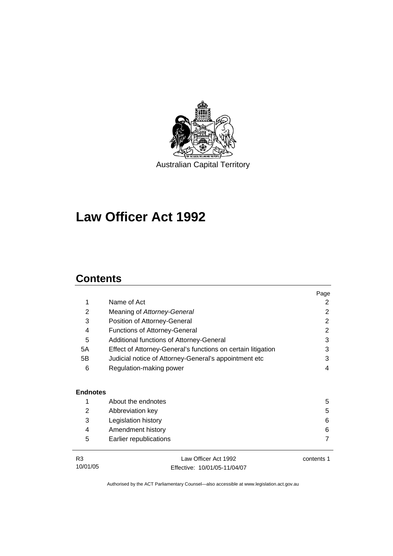

Australian Capital Territory

# **Law Officer Act 1992**

# **Contents**

|                 |                                                              | Page           |
|-----------------|--------------------------------------------------------------|----------------|
| 1               | Name of Act                                                  | 2              |
| 2               | Meaning of Attorney-General                                  | 2              |
| 3               | Position of Attorney-General                                 | 2              |
| 4               | <b>Functions of Attorney-General</b>                         | 2              |
| 5               | Additional functions of Attorney-General                     | 3              |
| 5A              | Effect of Attorney-General's functions on certain litigation | 3              |
| 5B              | Judicial notice of Attorney-General's appointment etc        | 3              |
| 6               | Regulation-making power                                      | 4              |
| <b>Endnotes</b> |                                                              |                |
| 1               | About the endnotes                                           | 5              |
| 2               | Abbreviation key                                             | 5              |
| 3               | Legislation history                                          | 6              |
| 4               | Amendment history                                            | 6              |
| 5               | Earlier republications                                       | $\overline{7}$ |
| R <sub>3</sub>  | Law Officer Act 1992                                         | contents 1     |
| 10/01/05        | Effective: 10/01/05-11/04/07                                 |                |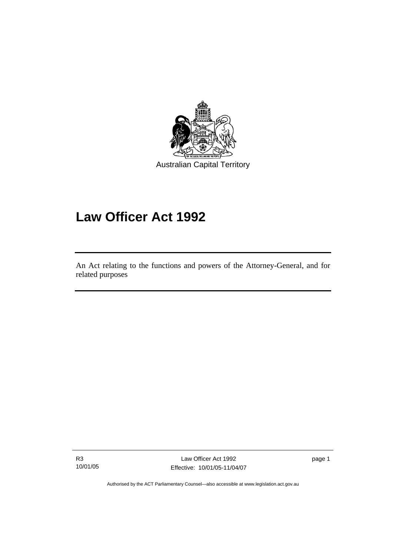

# **Law Officer Act 1992**

An Act relating to the functions and powers of the Attorney-General, and for related purposes

R3 10/01/05

Ī

Law Officer Act 1992 Effective: 10/01/05-11/04/07

page 1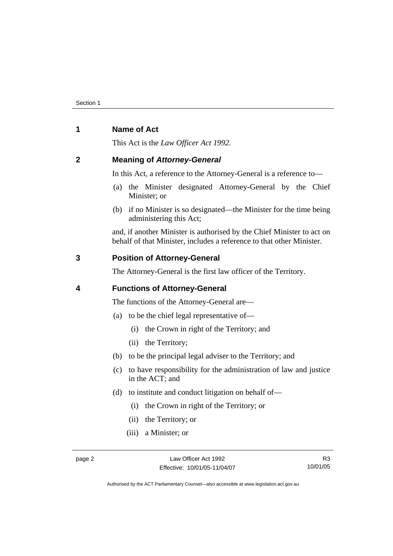# **1 Name of Act**

This Act is the *Law Officer Act 1992.*

# **2 Meaning of** *Attorney-General*

In this Act, a reference to the Attorney-General is a reference to—

- (a) the Minister designated Attorney-General by the Chief Minister; or
- (b) if no Minister is so designated—the Minister for the time being administering this Act;

and, if another Minister is authorised by the Chief Minister to act on behalf of that Minister, includes a reference to that other Minister.

# **3 Position of Attorney-General**

The Attorney-General is the first law officer of the Territory.

# **4 Functions of Attorney-General**

The functions of the Attorney-General are—

- (a) to be the chief legal representative of—
	- (i) the Crown in right of the Territory; and
	- (ii) the Territory;
- (b) to be the principal legal adviser to the Territory; and
- (c) to have responsibility for the administration of law and justice in the ACT; and
- (d) to institute and conduct litigation on behalf of—
	- (i) the Crown in right of the Territory; or
	- (ii) the Territory; or
	- (iii) a Minister; or

R3 10/01/05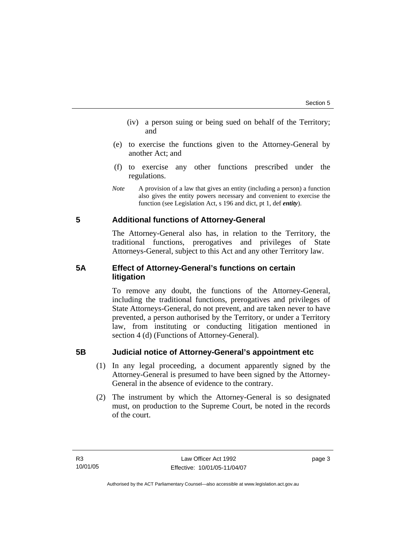- (iv) a person suing or being sued on behalf of the Territory; and
- (e) to exercise the functions given to the Attorney-General by another Act; and
- (f) to exercise any other functions prescribed under the regulations.
- *Note* A provision of a law that gives an entity (including a person) a function also gives the entity powers necessary and convenient to exercise the function (see Legislation Act, s 196 and dict, pt 1, def *entity*).

# **5 Additional functions of Attorney-General**

The Attorney-General also has, in relation to the Territory, the traditional functions, prerogatives and privileges of State Attorneys-General, subject to this Act and any other Territory law.

# **5A Effect of Attorney-General's functions on certain litigation**

To remove any doubt, the functions of the Attorney-General, including the traditional functions, prerogatives and privileges of State Attorneys-General, do not prevent, and are taken never to have prevented, a person authorised by the Territory, or under a Territory law, from instituting or conducting litigation mentioned in section 4 (d) (Functions of Attorney-General).

# **5B Judicial notice of Attorney-General's appointment etc**

- (1) In any legal proceeding, a document apparently signed by the Attorney-General is presumed to have been signed by the Attorney-General in the absence of evidence to the contrary.
- (2) The instrument by which the Attorney-General is so designated must, on production to the Supreme Court, be noted in the records of the court.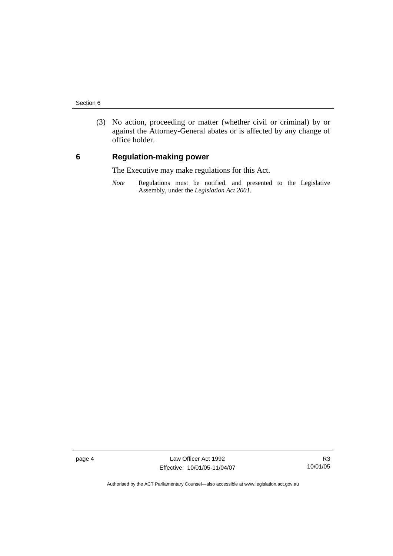(3) No action, proceeding or matter (whether civil or criminal) by or against the Attorney-General abates or is affected by any change of office holder.

# **6 Regulation-making power**

The Executive may make regulations for this Act.

*Note* Regulations must be notified, and presented to the Legislative Assembly, under the *Legislation Act 2001*.

page 4 Law Officer Act 1992 Effective: 10/01/05-11/04/07

R3 10/01/05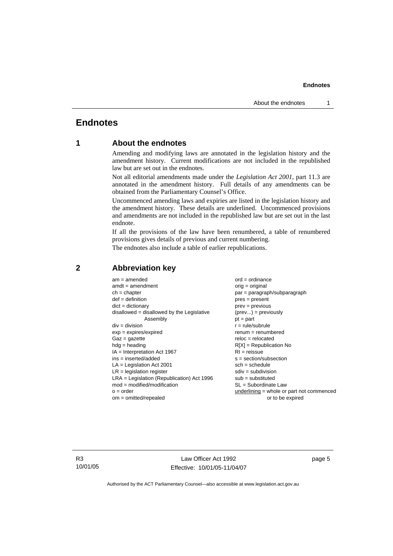#### **Endnotes**

# **Endnotes**

# **1 About the endnotes**

Amending and modifying laws are annotated in the legislation history and the amendment history. Current modifications are not included in the republished law but are set out in the endnotes.

Not all editorial amendments made under the *Legislation Act 2001*, part 11.3 are annotated in the amendment history. Full details of any amendments can be obtained from the Parliamentary Counsel's Office.

Uncommenced amending laws and expiries are listed in the legislation history and the amendment history. These details are underlined. Uncommenced provisions and amendments are not included in the republished law but are set out in the last endnote.

If all the provisions of the law have been renumbered, a table of renumbered provisions gives details of previous and current numbering.

The endnotes also include a table of earlier republications.

| $am = amended$<br>$amdt = amendment$<br>$ch = chapter$<br>$def = definition$<br>$dict = dictionary$<br>$disallowed = disallowed by the Legislative$<br>Assembly<br>$div = division$<br>$exp = expires/expired$<br>$Gaz = qazette$<br>$hdg =$ heading<br>$IA = Interpretation Act 1967$<br>$ins = inserted/added$<br>$LA =$ Legislation Act 2001<br>$LR =$ legislation register<br>$LRA =$ Legislation (Republication) Act 1996<br>$mod = modified/modification$<br>$o = order$ | $ord = ordinance$<br>orig = original<br>par = paragraph/subparagraph<br>$pres = present$<br>$prev = previous$<br>$(\text{prev}) = \text{previously}$<br>$pt = part$<br>$r = rule/subrule$<br>$renum = renumbered$<br>$reloc = relocated$<br>$R[X]$ = Republication No<br>$RI = reissue$<br>$s = section/subsection$<br>$sch = schedule$<br>$sdiv = subdivision$<br>$sub =$ substituted<br>SL = Subordinate Law<br>$underlining = whole or part not commenced$ |
|--------------------------------------------------------------------------------------------------------------------------------------------------------------------------------------------------------------------------------------------------------------------------------------------------------------------------------------------------------------------------------------------------------------------------------------------------------------------------------|---------------------------------------------------------------------------------------------------------------------------------------------------------------------------------------------------------------------------------------------------------------------------------------------------------------------------------------------------------------------------------------------------------------------------------------------------------------|
| $om = omitted/report$                                                                                                                                                                                                                                                                                                                                                                                                                                                          | or to be expired                                                                                                                                                                                                                                                                                                                                                                                                                                              |
|                                                                                                                                                                                                                                                                                                                                                                                                                                                                                |                                                                                                                                                                                                                                                                                                                                                                                                                                                               |

## **2 Abbreviation key**

R3 10/01/05

Law Officer Act 1992 Effective: 10/01/05-11/04/07 page 5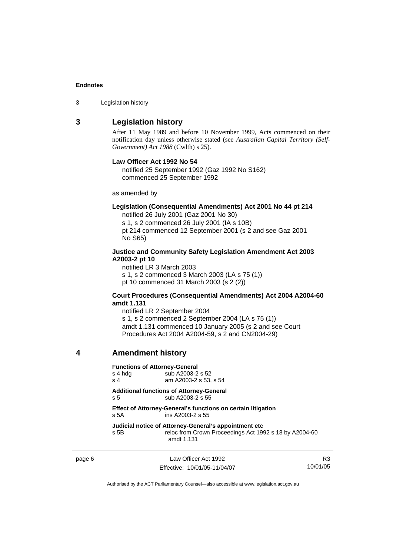#### **Endnotes**

3 Legislation history

# **3 Legislation history**

After 11 May 1989 and before 10 November 1999, Acts commenced on their notification day unless otherwise stated (see *Australian Capital Territory (Self-Government) Act 1988* (Cwlth) s 25).

#### **Law Officer Act 1992 No 54**

notified 25 September 1992 (Gaz 1992 No S162) commenced 25 September 1992

as amended by

#### **Legislation (Consequential Amendments) Act 2001 No 44 pt 214**

notified 26 July 2001 (Gaz 2001 No 30)

s 1, s 2 commenced 26 July 2001 (IA s 10B) pt 214 commenced 12 September 2001 (s 2 and see Gaz 2001 No S65)

#### **Justice and Community Safety Legislation Amendment Act 2003 A2003-2 pt 10**

notified LR 3 March 2003 s 1, s 2 commenced 3 March 2003 (LA s 75 (1)) pt 10 commenced 31 March 2003 (s 2 (2))

#### **Court Procedures (Consequential Amendments) Act 2004 A2004-60 amdt 1.131**

notified LR 2 September 2004 s 1, s 2 commenced 2 September 2004 (LA s 75 (1)) amdt 1.131 commenced 10 January 2005 (s 2 and see Court Procedures Act 2004 A2004-59, s 2 and CN2004-29)

# **4 Amendment history**

#### **Functions of Attorney-General**

| s 4 hda | sub A2003-2 s 52      |
|---------|-----------------------|
| .s. 4   | am A2003-2 s 53, s 54 |

**Additional functions of Attorney-General**  s 5 sub A2003-2 s 55

#### **Effect of Attorney-General's functions on certain litigation**  s 5A ins A2003-2 s 55

#### **Judicial notice of Attorney-General's appointment etc**

s 5B reloc from Crown Proceedings Act 1992 s 18 by A2004-60 amdt 1.131

page 6 Law Officer Act 1992 Effective: 10/01/05-11/04/07

R3 10/01/05